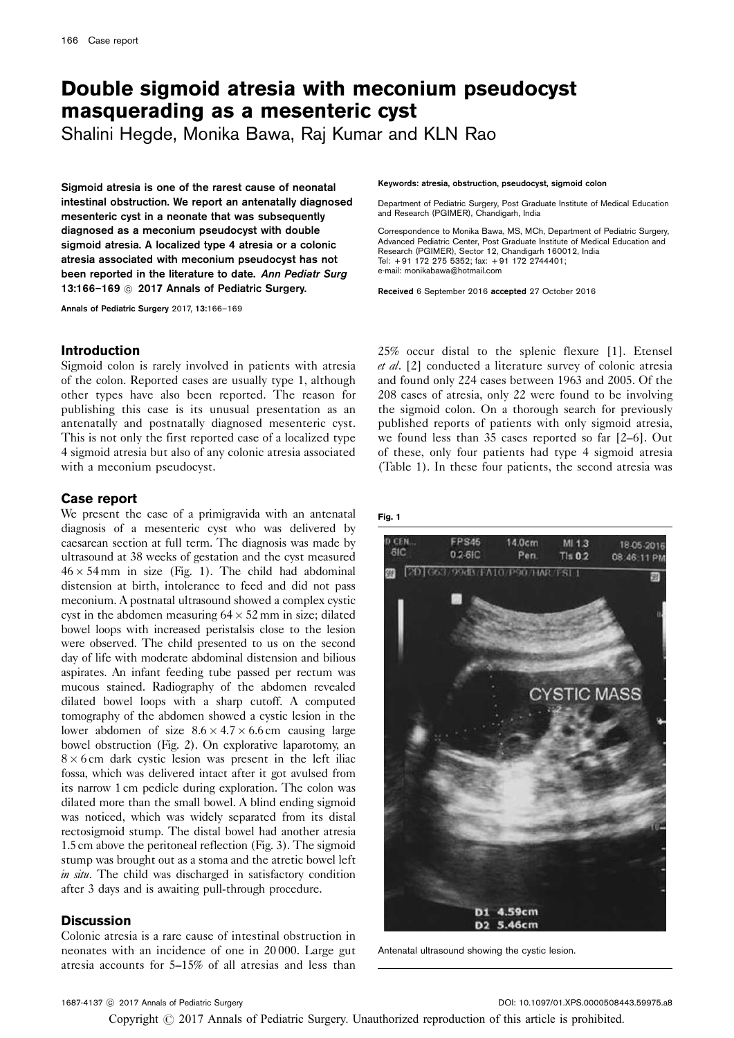# Double sigmoid atresia with meconium pseudocyst masquerading as a mesenteric cyst

Shalini Hegde, Monika Bawa, Raj Kumar and KLN Rao

Sigmoid atresia is one of the rarest cause of neonatal intestinal obstruction. We report an antenatally diagnosed mesenteric cyst in a neonate that was subsequently diagnosed as a meconium pseudocyst with double sigmoid atresia. A localized type 4 atresia or a colonic atresia associated with meconium pseudocyst has not been reported in the literature to date. Ann Pediatr Surg 13:166-169 @ 2017 Annals of Pediatric Surgery.

Annals of Pediatric Surgery 2017, 13:166–169

### Introduction

Sigmoid colon is rarely involved in patients with atresia of the colon. Reported cases are usually type 1, although other types have also been reported. The reason for publishing this case is its unusual presentation as an antenatally and postnatally diagnosed mesenteric cyst. This is not only the first reported case of a localized type 4 sigmoid atresia but also of any colonic atresia associated with a meconium pseudocyst.

# Case report

We present the case of a primigravida with an antenatal diagnosis of a mesenteric cyst who was delivered by caesarean section at full term. The diagnosis was made by ultrasound at 38 weeks of gestation and the cyst measured  $46 \times 54$  mm in size (Fig. 1). The child had abdominal distension at birth, intolerance to feed and did not pass meconium. A postnatal ultrasound showed a complex cystic cyst in the abdomen measuring  $64 \times 52$  mm in size; dilated bowel loops with increased peristalsis close to the lesion were observed. The child presented to us on the second day of life with moderate abdominal distension and bilious aspirates. An infant feeding tube passed per rectum was mucous stained. Radiography of the abdomen revealed dilated bowel loops with a sharp cutoff. A computed tomography of the abdomen showed a cystic lesion in the lower abdomen of size  $8.6 \times 4.7 \times 6.6$  cm causing large bowel obstruction [\(Fig. 2](#page-1-0)). On explorative laparotomy, an  $8 \times 6$  cm dark cystic lesion was present in the left iliac fossa, which was delivered intact after it got avulsed from its narrow 1 cm pedicle during exploration. The colon was dilated more than the small bowel. A blind ending sigmoid was noticed, which was widely separated from its distal rectosigmoid stump. The distal bowel had another atresia 1.5 cm above the peritoneal reflection [\(Fig. 3\)](#page-2-0). The sigmoid stump was brought out as a stoma and the atretic bowel left in situ. The child was discharged in satisfactory condition after 3 days and is awaiting pull-through procedure.

# **Discussion**

Colonic atresia is a rare cause of intestinal obstruction in neonates with an incidence of one in 20 000. Large gut atresia accounts for 5–15% of all atresias and less than Keywords: atresia, obstruction, pseudocyst, sigmoid colon

Department of Pediatric Surgery, Post Graduate Institute of Medical Education and Research (PGIMER), Chandigarh, India

Correspondence to Monika Bawa, MS, MCh, Department of Pediatric Surgery, Advanced Pediatric Center, Post Graduate Institute of Medical Education and Research (PGIMER), Sector 12, Chandigarh 160012, India Tel: + 91 172 275 5352; fax: + 91 172 2744401; e-mail: [monikabawa@hotmail.com](mailto:monikabawa@hotmail.com)

Received 6 September 2016 accepted 27 October 2016

25% occur distal to the splenic flexure [\[1](#page-2-0)]. Etensel et al. [\[2](#page-3-0)] conducted a literature survey of colonic atresia and found only 224 cases between 1963 and 2005. Of the 208 cases of atresia, only 22 were found to be involving the sigmoid colon. On a thorough search for previously published reports of patients with only sigmoid atresia, we found less than 35 cases reported so far [\[2–6](#page-3-0)]. Out of these, only four patients had type 4 sigmoid atresia ([Table 1](#page-2-0)). In these four patients, the second atresia was

Fig. 1



Antenatal ultrasound showing the cystic lesion.

Copyright  $\odot$  2017 Annals of Pediatric Surgery. Unauthorized reproduction of this article is prohibited.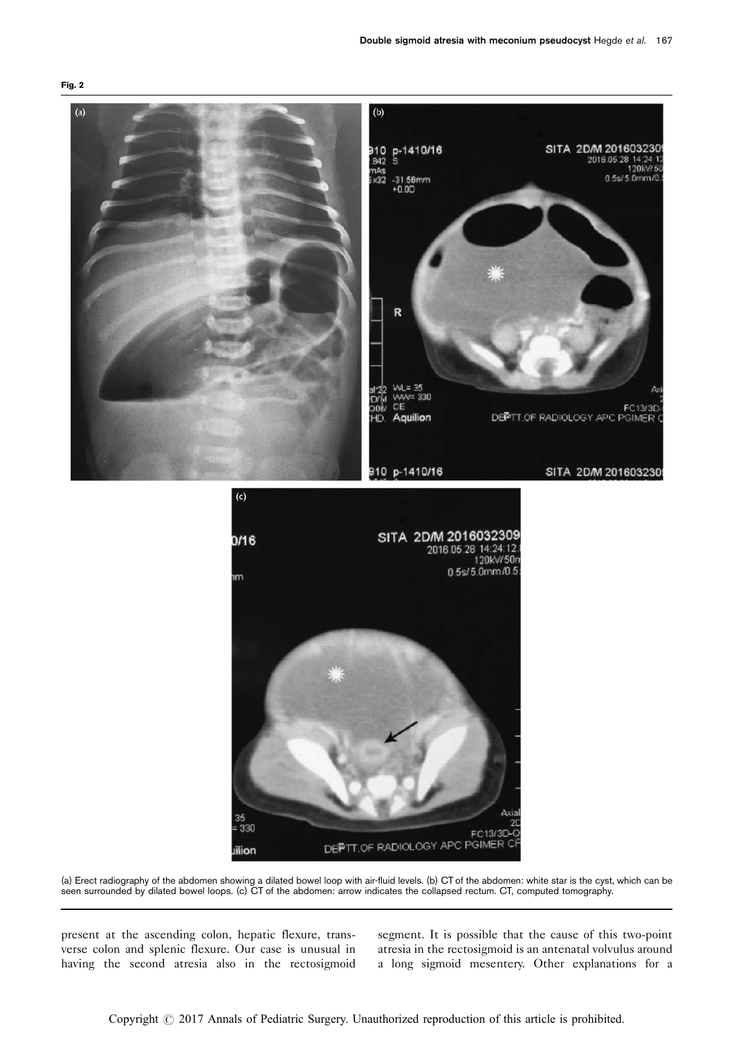<span id="page-1-0"></span>

(a) Erect radiography of the abdomen showing a dilated bowel loop with air-fluid levels. (b) CT of the abdomen: white star is the cyst, which can be seen surrounded by dilated bowel loops. (c) CT of the abdomen: arrow indicates the collapsed rectum. CT, computed tomography.

present at the ascending colon, hepatic flexure, transverse colon and splenic flexure. Our case is unusual in having the second atresia also in the rectosigmoid

segment. It is possible that the cause of this two-point atresia in the rectosigmoid is an antenatal volvulus around a long sigmoid mesentery. Other explanations for a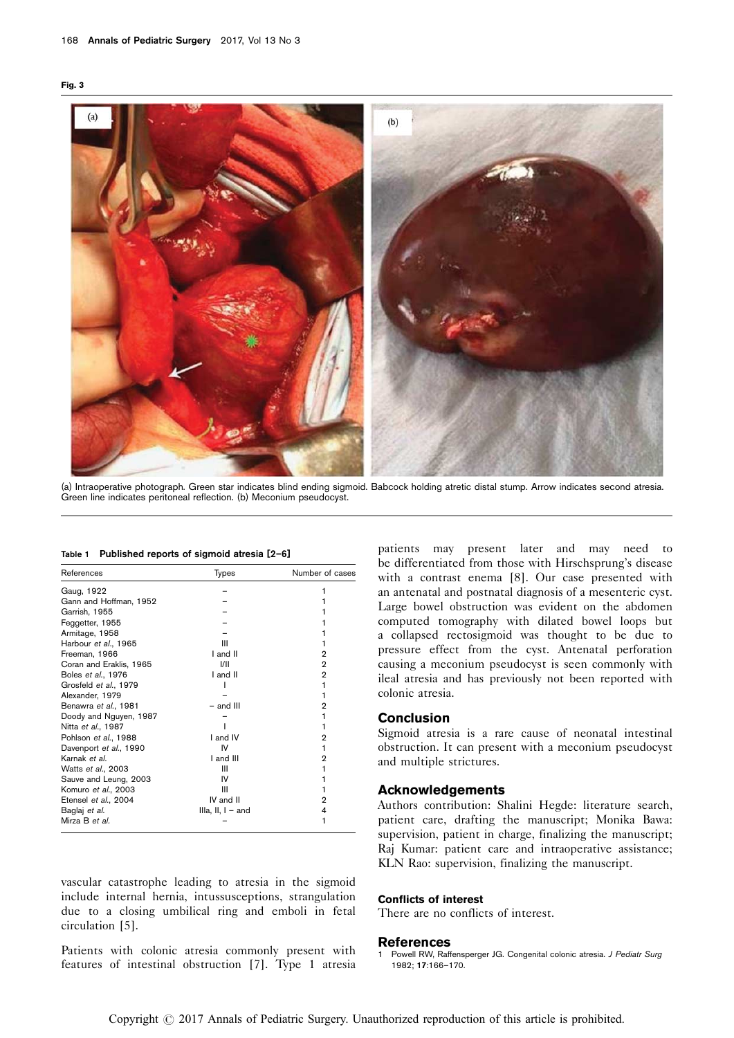<span id="page-2-0"></span>



(a) Intraoperative photograph. Green star indicates blind ending sigmoid. Babcock holding atretic distal stump. Arrow indicates second atresia. Green line indicates peritoneal reflection. (b) Meconium pseudocyst.

| Table 1 Published reports of sigmoid atresia [2-6] |  |  |  |  |  |  |
|----------------------------------------------------|--|--|--|--|--|--|
|----------------------------------------------------|--|--|--|--|--|--|

| References              | <b>Types</b>        | Number of cases |
|-------------------------|---------------------|-----------------|
| Gaug, 1922              |                     |                 |
| Gann and Hoffman, 1952  |                     |                 |
| Garrish, 1955           |                     |                 |
| Feggetter, 1955         |                     |                 |
| Armitage, 1958          |                     |                 |
| Harbour et al., 1965    | Ш                   |                 |
| Freeman, 1966           | I and II            | 2               |
| Coran and Eraklis, 1965 | 1/11                | 2               |
| Boles et al., 1976      | I and II            | 2               |
| Grosfeld et al., 1979   |                     |                 |
| Alexander, 1979         |                     |                 |
| Benawra et al., 1981    | $-$ and $III$       | 2               |
| Doody and Nguyen, 1987  |                     |                 |
| Nitta et al., 1987      |                     |                 |
| Pohlson et al., 1988    | I and IV            | 2               |
| Davenport et al., 1990  | IV                  |                 |
| Karnak et al.           | I and III           | 2               |
| Watts et al., 2003      | Ш                   |                 |
| Sauve and Leung, 2003   | IV                  |                 |
| Komuro et al., 2003     | Ш                   |                 |
| Etensel et al., 2004    | IV and II           | 2               |
| Baglaj et al.           | IIIa, II, $I -$ and | 4               |
| Mirza B et al.          |                     |                 |

vascular catastrophe leading to atresia in the sigmoid include internal hernia, intussusceptions, strangulation due to a closing umbilical ring and emboli in fetal circulation [\[5\]](#page-3-0).

Patients with colonic atresia commonly present with features of intestinal obstruction [\[7](#page-3-0)]. Type 1 atresia

patients may present later and may need to be differentiated from those with Hirschsprung's disease with a contrast enema [\[8](#page-3-0)]. Our case presented with an antenatal and postnatal diagnosis of a mesenteric cyst. Large bowel obstruction was evident on the abdomen computed tomography with dilated bowel loops but a collapsed rectosigmoid was thought to be due to pressure effect from the cyst. Antenatal perforation causing a meconium pseudocyst is seen commonly with ileal atresia and has previously not been reported with colonic atresia.

### Conclusion

Sigmoid atresia is a rare cause of neonatal intestinal obstruction. It can present with a meconium pseudocyst and multiple strictures.

## Acknowledgements

Authors contribution: Shalini Hegde: literature search, patient care, drafting the manuscript; Monika Bawa: supervision, patient in charge, finalizing the manuscript; Raj Kumar: patient care and intraoperative assistance; KLN Rao: supervision, finalizing the manuscript.

#### Conflicts of interest

There are no conflicts of interest.

#### References

Powell RW, Raffensperger JG. Congenital colonic atresia. J Pediatr Surg 1982; 17:166–170.